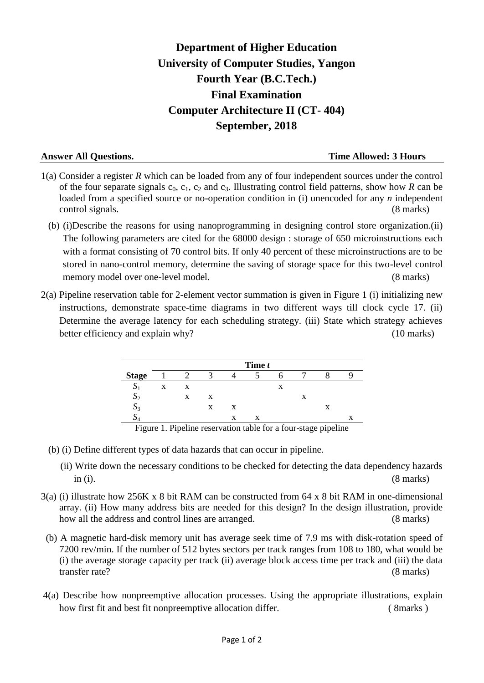# **Department of Higher Education University of Computer Studies, Yangon Fourth Year (B.C.Tech.) Final Examination Computer Architecture II (CT- 404) September, 2018**

## **Answer All Questions. Time Allowed: 3 Hours**

- 1(a) Consider a register *R* which can be loaded from any of four independent sources under the control of the four separate signals  $c_0$ ,  $c_1$ ,  $c_2$  and  $c_3$ . Illustrating control field patterns, show how *R* can be loaded from a specified source or no-operation condition in (i) unencoded for any *n* independent control signals. (8 marks)
	- (b) (i)Describe the reasons for using nanoprogramming in designing control store organization.(ii) The following parameters are cited for the 68000 design : storage of 650 microinstructions each with a format consisting of 70 control bits. If only 40 percent of these microinstructions are to be stored in nano-control memory, determine the saving of storage space for this two-level control memory model over one-level model. (8 marks)
- 2(a) Pipeline reservation table for 2-element vector summation is given in Figure 1 (i) initializing new instructions, demonstrate space-time diagrams in two different ways till clock cycle 17. (ii) Determine the average latency for each scheduling strategy. (iii) State which strategy achieves better efficiency and explain why? (10 marks)

|               | Time t |   |   |   |   |                           |   |  |   |
|---------------|--------|---|---|---|---|---------------------------|---|--|---|
| <b>Stage</b>  |        |   |   |   |   |                           |   |  |   |
| د             | X      | X |   |   |   | $\mathbf{v}$<br>$\Lambda$ |   |  |   |
| $\mathcal{D}$ |        | X | X |   |   |                           | X |  |   |
| 3 م           |        |   | X | X |   |                           |   |  |   |
| ມ             |        |   |   | X | X |                           |   |  | Δ |

Figure 1. Pipeline reservation table for a four-stage pipeline

- (b) (i) Define different types of data hazards that can occur in pipeline.
	- (ii) Write down the necessary conditions to be checked for detecting the data dependency hazards in (i). (8 marks)
- 3(a) (i) illustrate how 256K x 8 bit RAM can be constructed from 64 x 8 bit RAM in one-dimensional array. (ii) How many address bits are needed for this design? In the design illustration, provide how all the address and control lines are arranged. (8 marks)
- (b) A magnetic hard-disk memory unit has average seek time of 7.9 ms with disk-rotation speed of 7200 rev/min. If the number of 512 bytes sectors per track ranges from 108 to 180, what would be (i) the average storage capacity per track (ii) average block access time per track and (iii) the data transfer rate? (8 marks)
- 4(a) Describe how nonpreemptive allocation processes. Using the appropriate illustrations, explain how first fit and best fit nonpreemptive allocation differ. (8marks)